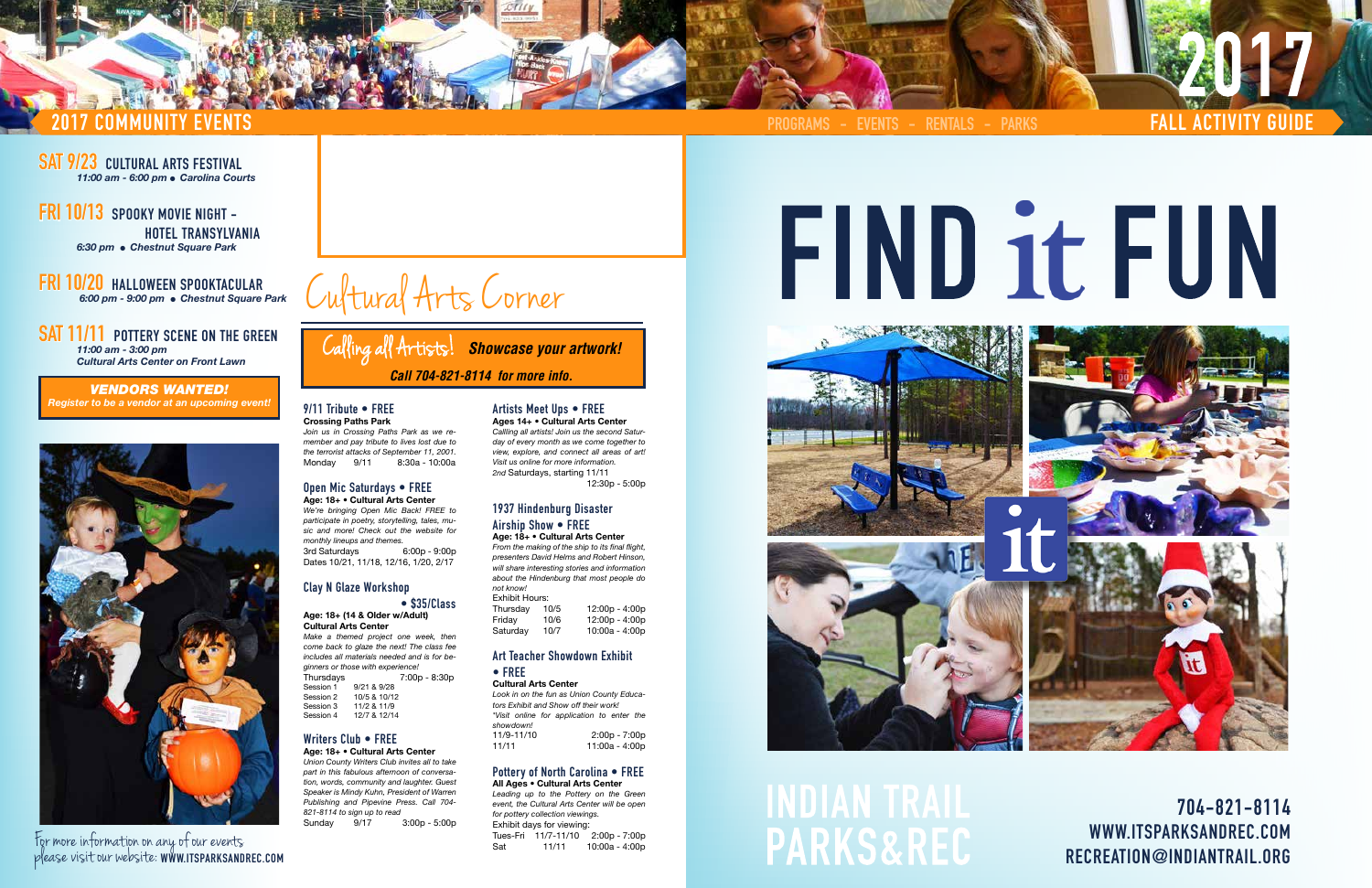**704-821-8114 WWW.ITSPARKSANDREC.COM RECREATION@INDIANTRAIL.ORG**

**SAT 9/23 CULTURAL ARTS FESTIVAL** *11:00 am - 6:00 pm* l *Carolina Courts*

**FRI 10/13 SPOOKY MOVIE NIGHT - HOTEL TRANSYLVANIA** *6:30 pm* l *Chestnut Square Park*

# **2017 COMMUNITY EVENTS FALL ACTIVITY GUIDE PROGRAMS - EVENTS - RENTALS - PARKS**

#### **FRI 10/20 HALLOWEEN SPOOKTACULAR**  *6:00 pm - 9:00 pm* l *Chestnut Square Park*

**SAT 11/11 POTTERY SCENE ON THE GREEN** *11:00 am - 3:00 pm*

*Cultural Arts Center on Front Lawn*

**WWW.ITSPARKSANDREC.COM** For more information on any of our events please visit our website:

*Make a themed project one week, then come back to glaze the next! The class fee includes all materials needed and is for beginners or those with experience!* Thursdays 7:00p - 8:30p<br>Session 1 9/21 & 9/28 9/21 & 9/28 Session 2 10/5 & 10/12 Session 3 11/2 & 11/9<br>Session 4 12/7 & 12/14 12/7 & 12/14

*VENDORS WANTED! Register to be a vendor at an upcoming event!* **9/11 Tribute • FREE**



# **Crossing Paths Park**

*Join us in Crossing Paths Park as we remember and pay tribute to lives lost due to the terrorist attacks of September 11, 2001.* Monday 9/11 8:30a - 10:00a

#### **Open Mic Saturdays • FREE**

**Age: 18+ • Cultural Arts Center** *We're bringing Open Mic Back! FREE to participate in poetry, storytelling, tales, music and more! Check out the website for monthly lineups and themes.* 3rd Saturdays 6:00p - 9:00p Dates 10/21, 11/18, 12/16, 1/20, 2/17

#### **Clay N Glaze Workshop**

#### **• \$35/Class Age: 18+ (14 & Older w/Adult) Cultural Arts Center**

*Look in on the fun as Union County Educators Exhibit and Show off their work! \*Visit online for application to enter the showdown!* 2:00p - 7:00p 11/11 11:00a - 4:00p

*Leading up to the Pottery on the Green event, the Cultural Arts Center will be open for pottery collection viewings.* Exhibit days for viewing: Tues-Fri 11/7-11/10 2:00p - 7:00p Sat 11/11 10:00a - 4:00p







# **IDIAN TRAIL PARKS&REC**

# FIND it FUN

#### **Writers Club • FREE**

**Age: 18+ • Cultural Arts Center** *Union County Writers Club invites all to take part in this fabulous afternoon of conversation, words, community and laughter. Guest Speaker is Mindy Kuhn, President of Warren Publishing and Pipevine Press. Call 704- 821-8114 to sign up to read* Sunday 9/17 3:00p - 5:00p

#### **Artists Meet Ups • FREE Ages 14+ • Cultural Arts Center**

*Callling all artists! Join us the second Saturday of every month as we come together to view, explore, and connect all areas of art! Visit us online for more information. 2nd* Saturdays, starting 11/11

12:30p - 5:00p

#### **1937 Hindenburg Disaster Airship Show • FREE**

#### **Age: 18+ • Cultural Arts Center**

*From the making of the ship to its final flight, presenters David Helms and Robert Hinson, will share interesting stories and information about the Hindenburg that most people do not know!*  Exhibit Hours:

| Thursdav | 10/5 | 12:00p - 4:00p |
|----------|------|----------------|
| Friday   | 10/6 | 12:00p - 4:00p |
| Saturday | 10/7 | 10:00a - 4:00p |

#### **Art Teacher Showdown Exhibit • FREE**

#### **Cultural Arts Center**

#### **Pottery of North Carolina • FREE All Ages • Cultural Arts Center**



Calling all Artists!*Showcase your artwork! Call 704-821-8114 for more info.*